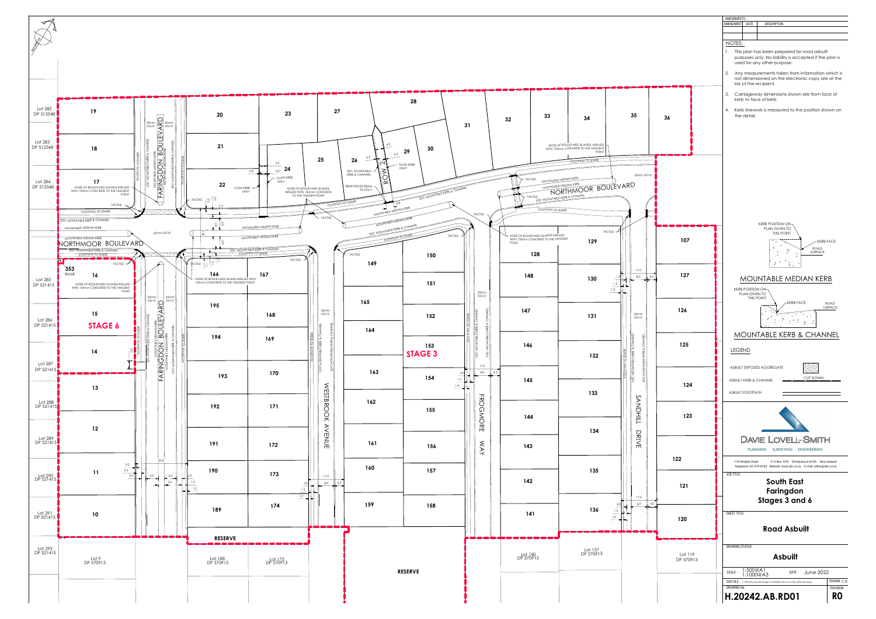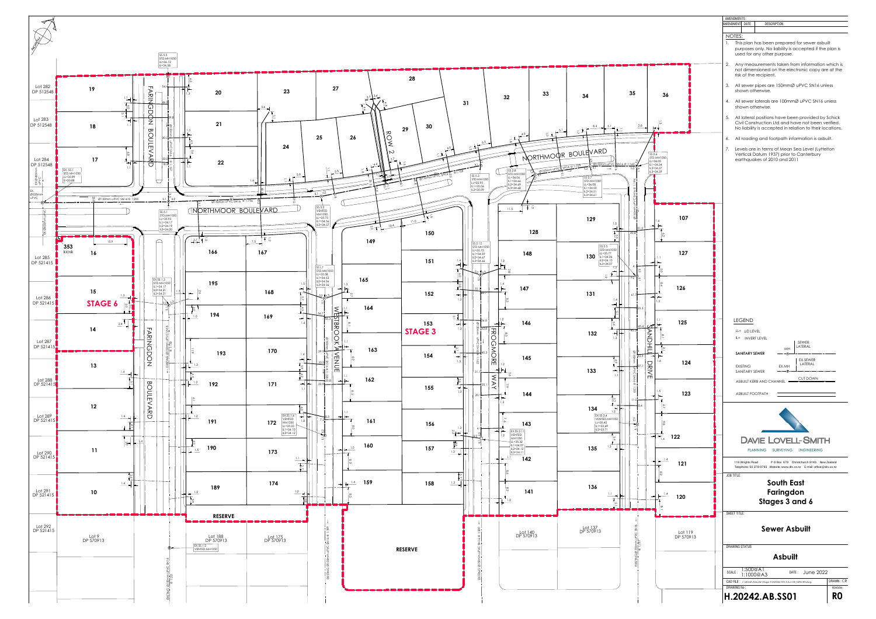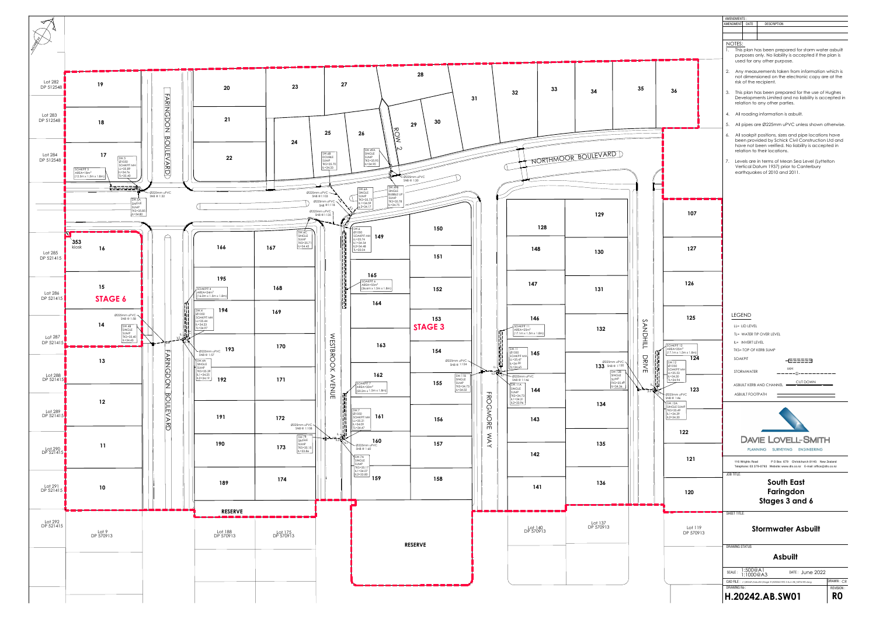